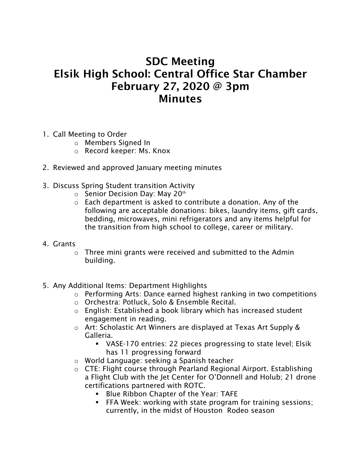## SDC Meeting Elsik High School: Central Office Star Chamber February 27, 2020 @ 3pm **Minutes**

- 1. Call Meeting to Order
	- o Members Signed In
	- o Record keeper: Ms. Knox
- 2. Reviewed and approved January meeting minutes
- 3. Discuss Spring Student transition Activity
	- $\circ$  Senior Decision Day: May 20<sup>th</sup>
	- o Each department is asked to contribute a donation. Any of the following are acceptable donations: bikes, laundry items, gift cards, bedding, microwaves, mini refrigerators and any items helpful for the transition from high school to college, career or military.
- 4. Grants
	- o Three mini grants were received and submitted to the Admin building.
- 5. Any Additional Items: Department Highlights
	- o Performing Arts: Dance earned highest ranking in two competitions
	- o Orchestra: Potluck, Solo & Ensemble Recital.
	- o English: Established a book library which has increased student engagement in reading.
	- o Art: Scholastic Art Winners are displayed at Texas Art Supply & Galleria.
		- VASE-170 entries: 22 pieces progressing to state level; Elsik has 11 progressing forward
	- o World Language: seeking a Spanish teacher
	- o CTE: Flight course through Pearland Regional Airport. Establishing a Flight Club with the Jet Center for O'Donnell and Holub; 21 drone certifications partnered with ROTC.
		- **Blue Ribbon Chapter of the Year: TAFE**
		- FFA Week: working with state program for training sessions; currently, in the midst of Houston Rodeo season